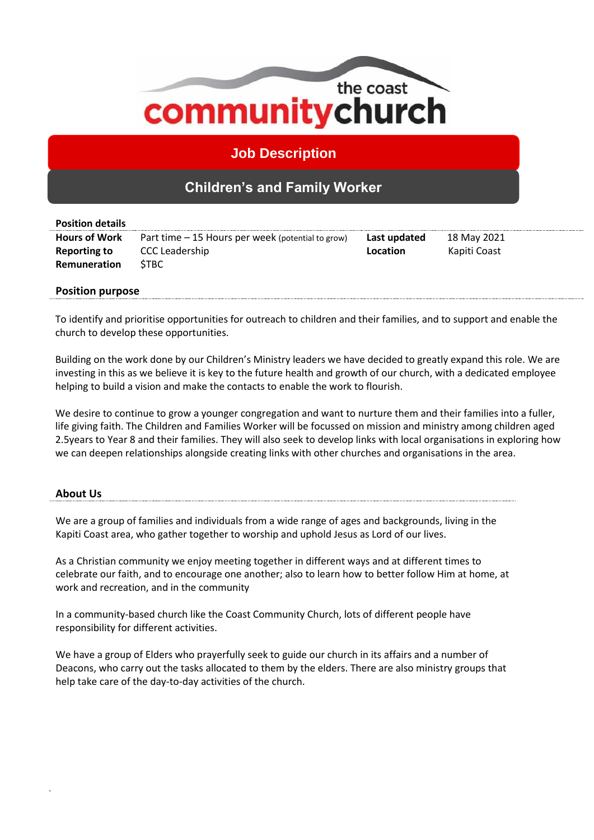

**Job Description**

# **Children's and Family Worker**

| <b>Position details</b> |                                                   |              |              |
|-------------------------|---------------------------------------------------|--------------|--------------|
| <b>Hours of Work</b>    | Part time – 15 Hours per week (potential to grow) | Last updated | 18 May 2021  |
| <b>Reporting to</b>     | <b>CCC Leadership</b>                             | Location     | Kapiti Coast |
| Remuneration            | <b>STBC</b>                                       |              |              |
|                         |                                                   |              |              |

## **Position purpose**

To identify and prioritise opportunities for outreach to children and their families, and to support and enable the church to develop these opportunities.

Building on the work done by our Children's Ministry leaders we have decided to greatly expand this role. We are investing in this as we believe it is key to the future health and growth of our church, with a dedicated employee helping to build a vision and make the contacts to enable the work to flourish.

We desire to continue to grow a younger congregation and want to nurture them and their families into a fuller, life giving faith. The Children and Families Worker will be focussed on mission and ministry among children aged 2.5years to Year 8 and their families. They will also seek to develop links with local organisations in exploring how we can deepen relationships alongside creating links with other churches and organisations in the area.

#### **About Us**

We are a group of families and individuals from a wide range of ages and backgrounds, living in the Kapiti Coast area, who gather together to worship and uphold Jesus as Lord of our lives.

As a Christian community we enjoy meeting together in different ways and at different times to celebrate our faith, and to encourage one another; also to learn how to better follow Him at home, at work and recreation, and in the community

In a community-based church like the Coast Community Church, lots of different people have responsibility for different activities.

We have a group of Elders who prayerfully seek to guide our church in its affairs and a number of Deacons, who carry out the tasks allocated to them by the elders. There are also ministry groups that help take care of the day-to-day activities of the church.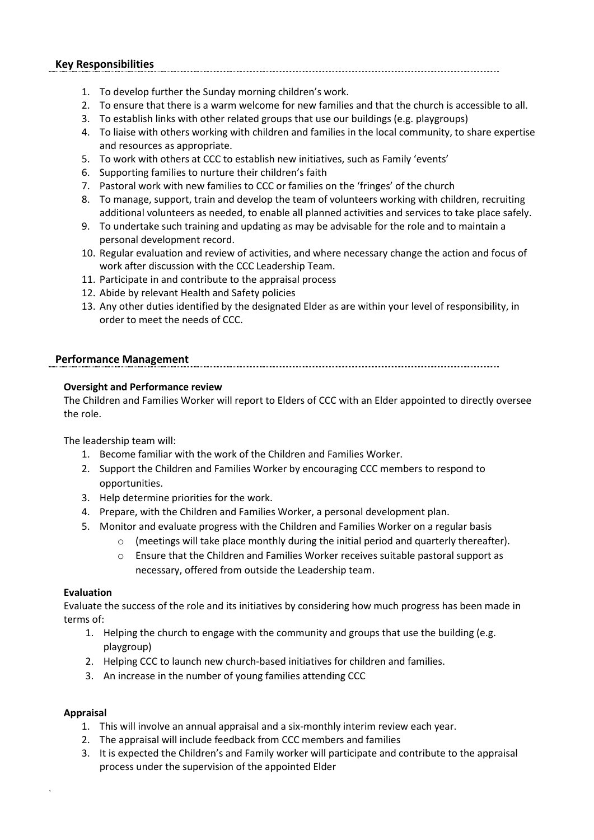## **Key Responsibilities**

- 1. To develop further the Sunday morning children's work.
- 2. To ensure that there is a warm welcome for new families and that the church is accessible to all.
- 3. To establish links with other related groups that use our buildings (e.g. playgroups)
- 4. To liaise with others working with children and families in the local community, to share expertise and resources as appropriate.
- 5. To work with others at CCC to establish new initiatives, such as Family 'events'
- 6. Supporting families to nurture their children's faith
- 7. Pastoral work with new families to CCC or families on the 'fringes' of the church
- 8. To manage, support, train and develop the team of volunteers working with children, recruiting additional volunteers as needed, to enable all planned activities and services to take place safely.
- 9. To undertake such training and updating as may be advisable for the role and to maintain a personal development record.
- 10. Regular evaluation and review of activities, and where necessary change the action and focus of work after discussion with the CCC Leadership Team.
- 11. Participate in and contribute to the appraisal process
- 12. Abide by relevant Health and Safety policies
- 13. Any other duties identified by the designated Elder as are within your level of responsibility, in order to meet the needs of CCC.

#### **Performance Management**

## **Oversight and Performance review**

The Children and Families Worker will report to Elders of CCC with an Elder appointed to directly oversee the role.

The leadership team will:

- 1. Become familiar with the work of the Children and Families Worker.
- 2. Support the Children and Families Worker by encouraging CCC members to respond to opportunities.
- 3. Help determine priorities for the work.
- 4. Prepare, with the Children and Families Worker, a personal development plan.
- 5. Monitor and evaluate progress with the Children and Families Worker on a regular basis
	- $\circ$  (meetings will take place monthly during the initial period and quarterly thereafter).
	- $\circ$  Ensure that the Children and Families Worker receives suitable pastoral support as necessary, offered from outside the Leadership team.

#### **Evaluation**

Evaluate the success of the role and its initiatives by considering how much progress has been made in terms of:

- 1. Helping the church to engage with the community and groups that use the building (e.g. playgroup)
- 2. Helping CCC to launch new church-based initiatives for children and families.
- 3. An increase in the number of young families attending CCC

#### **Appraisal**

- 1. This will involve an annual appraisal and a six-monthly interim review each year.
- 2. The appraisal will include feedback from CCC members and families
- 3. It is expected the Children's and Family worker will participate and contribute to the appraisal process under the supervision of the appointed Elder